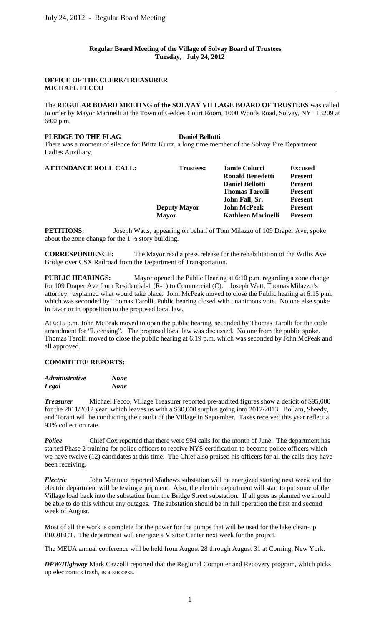**Regular Board Meeting of the Village of Solvay Board of Trustees Tuesday, July 24, 2012**

## **OFFICE OF THE CLERK/TREASURER MICHAEL FECCO**

The **REGULAR BOARD MEETING of the SOLVAY VILLAGE BOARD OF TRUSTEES** was called to order by Mayor Marinelli at the Town of Geddes Court Room, 1000 Woods Road, Solvay, NY 13209 at 6:00 p.m.

#### **PLEDGE TO THE FLAG Daniel Bellotti**

There was a moment of silence for Britta Kurtz, a long time member of the Solvay Fire Department Ladies Auxiliary.

| <b>ATTENDANCE ROLL CALL:</b> | Trustees:           | <b>Jamie Colucci</b>      | <b>Excused</b> |
|------------------------------|---------------------|---------------------------|----------------|
|                              |                     | <b>Ronald Benedetti</b>   | <b>Present</b> |
|                              |                     | <b>Daniel Bellotti</b>    | <b>Present</b> |
|                              |                     | <b>Thomas Tarolli</b>     | <b>Present</b> |
|                              |                     | John Fall, Sr.            | <b>Present</b> |
|                              | <b>Deputy Mayor</b> | John McPeak               | <b>Present</b> |
|                              | <b>Mayor</b>        | <b>Kathleen Marinelli</b> | <b>Present</b> |
|                              |                     |                           |                |

**PETITIONS:** Joseph Watts, appearing on behalf of Tom Milazzo of 109 Draper Ave, spoke about the zone change for the 1 ½ story building.

**CORRESPONDENCE:** The Mayor read a press release for the rehabilitation of the Willis Ave Bridge over CSX Railroad from the Department of Transportation.

**PUBLIC HEARINGS:** Mayor opened the Public Hearing at 6:10 p.m. regarding a zone change for 109 Draper Ave from Residential-1 (R-1) to Commercial (C). Joseph Watt, Thomas Milazzo's attorney, explained what would take place. John McPeak moved to close the Public hearing at 6:15 p.m. which was seconded by Thomas Tarolli. Public hearing closed with unanimous vote. No one else spoke in favor or in opposition to the proposed local law.

At 6:15 p.m. John McPeak moved to open the public hearing, seconded by Thomas Tarolli for the code amendment for "Licensing". The proposed local law was discussed. No one from the public spoke. Thomas Tarolli moved to close the public hearing at 6:19 p.m. which was seconded by John McPeak and all approved.

## **COMMITTEE REPORTS:**

| <i><b>Administrative</b></i> | <b>None</b> |
|------------------------------|-------------|
| Legal                        | <b>None</b> |

*Treasurer* Michael Fecco, Village Treasurer reported pre-audited figures show a deficit of \$95,000 for the 2011/2012 year, which leaves us with a \$30,000 surplus going into 2012/2013. Bollam, Sheedy, and Torani will be conducting their audit of the Village in September. Taxes received this year reflect a 93% collection rate.

**Police** Chief Cox reported that there were 994 calls for the month of June. The department has started Phase 2 training for police officers to receive NYS certification to become police officers which we have twelve (12) candidates at this time. The Chief also praised his officers for all the calls they have been receiving.

*Electric* John Montone reported Mathews substation will be energized starting next week and the electric department will be testing equipment. Also, the electric department will start to put some of the Village load back into the substation from the Bridge Street substation. If all goes as planned we should be able to do this without any outages. The substation should be in full operation the first and second week of August.

Most of all the work is complete for the power for the pumps that will be used for the lake clean-up PROJECT. The department will energize a Visitor Center next week for the project.

The MEUA annual conference will be held from August 28 through August 31 at Corning, New York.

*DPW/Highway* Mark Cazzolli reported that the Regional Computer and Recovery program, which picks up electronics trash, is a success.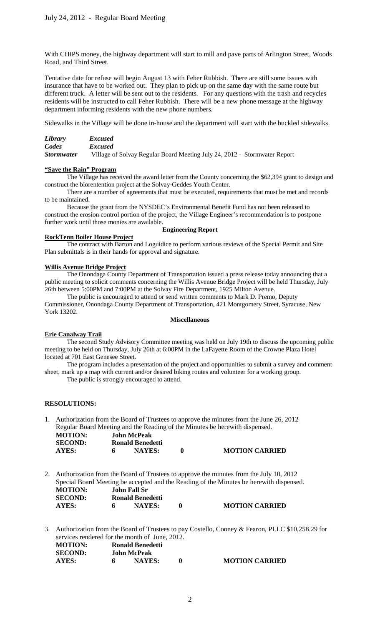With CHIPS money, the highway department will start to mill and pave parts of Arlington Street, Woods Road, and Third Street.

Tentative date for refuse will begin August 13 with Feher Rubbish. There are still some issues with insurance that have to be worked out. They plan to pick up on the same day with the same route but different truck. A letter will be sent out to the residents. For any questions with the trash and recycles residents will be instructed to call Feher Rubbish. There will be a new phone message at the highway department informing residents with the new phone numbers.

Sidewalks in the Village will be done in-house and the department will start with the buckled sidewalks.

| Library           | <i>Excused</i>                                                            |
|-------------------|---------------------------------------------------------------------------|
| Codes             | <i>Excused</i>                                                            |
| <b>Stormwater</b> | Village of Solvay Regular Board Meeting July 24, 2012 - Stormwater Report |

#### **"Save the Rain" Program**

The Village has received the award letter from the County concerning the \$62,394 grant to design and construct the biorentention project at the Solvay-Geddes Youth Center.

There are a number of agreements that must be executed, requirements that must be met and records to be maintained.

Because the grant from the NYSDEC's Environmental Benefit Fund has not been released to construct the erosion control portion of the project, the Village Engineer's recommendation is to postpone further work until those monies are available.

#### **Engineering Report**

#### **RockTenn Boiler House Project**

The contract with Barton and Loguidice to perform various reviews of the Special Permit and Site Plan submittals is in their hands for approval and signature.

#### **Willis Avenue Bridge Project**

The Onondaga County Department of Transportation issued a press release today announcing that a public meeting to solicit comments concerning the Willis Avenue Bridge Project will be held Thursday, July 26th between 5:00PM and 7:00PM at the Solvay Fire Department, 1925 Milton Avenue.

The public is encouraged to attend or send written comments to Mark D. Premo, Deputy Commissioner, Onondaga County Department of Transportation, 421 Montgomery Street, Syracuse, New York 13202.

#### **Miscellaneous**

## **Erie Canalway Trail**

The second Study Advisory Committee meeting was held on July 19th to discuss the upcoming public meeting to be held on Thursday, July 26th at 6:00PM in the LaFayette Room of the Crowne Plaza Hotel located at 701 East Genesee Street.

The program includes a presentation of the project and opportunities to submit a survey and comment sheet, mark up a map with current and/or desired biking routes and volunteer for a working group.

The public is strongly encouraged to attend.

#### **RESOLUTIONS:**

1. Authorization from the Board of Trustees to approve the minutes from the June 26, 2012 Regular Board Meeting and the Reading of the Minutes be herewith dispensed.<br>MOTION: John McPeak **MOTION: John McPeak SECOND: Ronald Benedetti**<br>**AYES: 6 NAYES: AYES: 6 NAYES: 0 MOTION CARRIED**

2. Authorization from the Board of Trustees to approve the minutes from the July 10, 2012 Special Board Meeting be accepted and the Reading of the Minutes be herewith dispensed. **MOTION: John Fall Sr SECOND: Ronald Benedetti**<br> **AYES:** 6 **NAYES: AYES: 6 NAYES: 0 MOTION CARRIED**

3. Authorization from the Board of Trustees to pay Costello, Cooney & Fearon, PLLC \$10,258.29 for services rendered for the month of June, 2012.

| <b>MOTION:</b> | Ronald Benedetti   |                       |
|----------------|--------------------|-----------------------|
| <b>SECOND:</b> | <b>John McPeak</b> |                       |
| AYES:          | <b>NAYES:</b>      | <b>MOTION CARRIED</b> |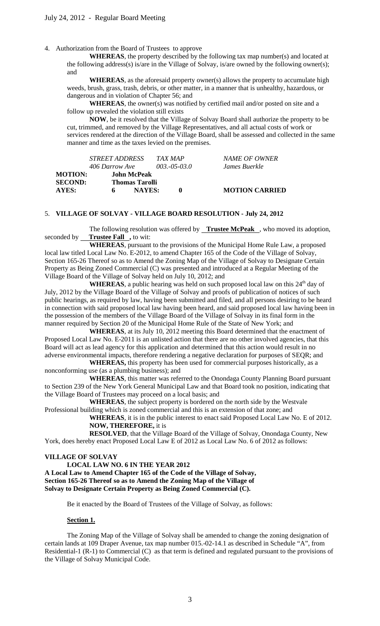4. Authorization from the Board of Trustees to approve

**WHEREAS**, the property described by the following tax map number(s) and located at the following address(s) is/are in the Village of Solvay, is/are owned by the following owner(s); and

 **WHEREAS**, as the aforesaid property owner(s) allows the property to accumulate high weeds, brush, grass, trash, debris, or other matter, in a manner that is unhealthy, hazardous, or dangerous and in violation of Chapter 56; and

 **WHEREAS**, the owner(s) was notified by certified mail and/or posted on site and a follow up revealed the violation still exists

 **NOW**, be it resolved that the Village of Solvay Board shall authorize the property to be cut, trimmed, and removed by the Village Representatives, and all actual costs of work or services rendered at the direction of the Village Board, shall be assessed and collected in the same manner and time as the taxes levied on the premises.

|         | <i>STREET ADDRESS</i> |               | TAX MAP           | NAME OF OWNER         |
|---------|-----------------------|---------------|-------------------|-----------------------|
|         | 406 Darrow Ave        |               | $003 - 05 - 03.0$ | James Buerkle         |
| MOTION: | John McPeak           |               |                   |                       |
| SECOND: | <b>Thomas Tarolli</b> |               |                   |                       |
| AYES:   | 6                     | <b>NAYES:</b> | o                 | <b>MOTION CARRIED</b> |

# 5. **VILLAGE OF SOLVAY - VILLAGE BOARD RESOLUTION - July 24, 2012**

The following resolution was offered by **Trustee McPeak** , who moved its adoption, seconded by \_\_ **Trustee Fall**, to wit:

**WHEREAS**, pursuant to the provisions of the Municipal Home Rule Law, a proposed local law titled Local Law No. E-2012, to amend Chapter 165 of the Code of the Village of Solvay, Section 165-26 Thereof so as to Amend the Zoning Map of the Village of Solvay to Designate Certain Property as Being Zoned Commercial (C) was presented and introduced at a Regular Meeting of the Village Board of the Village of Solvay held on July 10, 2012; and

**WHEREAS**, a public hearing was held on such proposed local law on this  $24<sup>th</sup>$  day of July, 2012 by the Village Board of the Village of Solvay and proofs of publication of notices of such public hearings, as required by law, having been submitted and filed, and all persons desiring to be heard in connection with said proposed local law having been heard, and said proposed local law having been in the possession of the members of the Village Board of the Village of Solvay in its final form in the manner required by Section 20 of the Municipal Home Rule of the State of New York; and

**WHEREAS**, at its July 10, 2012 meeting this Board determined that the enactment of Proposed Local Law No. E-2011 is an unlisted action that there are no other involved agencies, that this Board will act as lead agency for this application and determined that this action would result in no adverse environmental impacts, therefore rendering a negative declaration for purposes of SEQR; and

**WHEREAS,** this property has been used for commercial purposes historically, as a nonconforming use (as a plumbing business); and

**WHEREAS**, this matter was referred to the Onondaga County Planning Board pursuant to Section 239 of the New York General Municipal Law and that Board took no position, indicating that the Village Board of Trustees may proceed on a local basis; and

**WHEREAS**, the subject property is bordered on the north side by the Westvale Professional building which is zoned commercial and this is an extension of that zone; and

**WHEREAS**, it is in the public interest to enact said Proposed Local Law No. E of 2012. **NOW, THEREFORE,** it is

**RESOLVED**, that the Village Board of the Village of Solvay, Onondaga County, New York, does hereby enact Proposed Local Law E of 2012 as Local Law No. 6 of 2012 as follows:

## **VILLAGE OF SOLVAY**

**LOCAL LAW NO. 6 IN THE YEAR 2012 A Local Law to Amend Chapter 165 of the Code of the Village of Solvay, Section 165-26 Thereof so as to Amend the Zoning Map of the Village of Solvay to Designate Certain Property as Being Zoned Commercial (C).**

Be it enacted by the Board of Trustees of the Village of Solvay, as follows:

#### **Section 1.**

The Zoning Map of the Village of Solvay shall be amended to change the zoning designation of certain lands at 109 Draper Avenue, tax map number 015.-02-14.1 as described in Schedule "A", from Residential-1 (R-1) to Commercial (C) as that term is defined and regulated pursuant to the provisions of the Village of Solvay Municipal Code.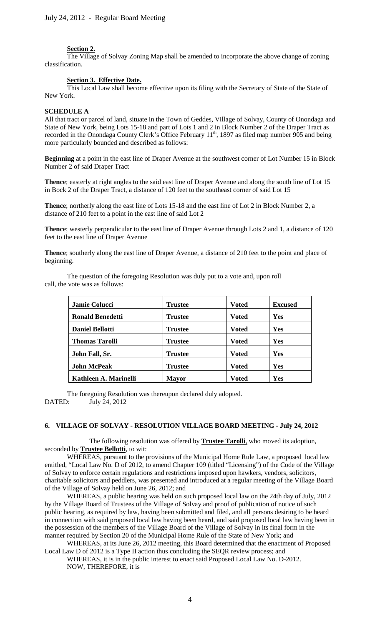#### **Section 2.** i<br>L

The Village of Solvay Zoning Map shall be amended to incorporate the above change of zoning classification.

#### **Section 3. Effective Date.**

This Local Law shall become effective upon its filing with the Secretary of State of the State of New York.

## **SCHEDULE A**

All that tract or parcel of land, situate in the Town of Geddes, Village of Solvay, County of Onondaga and State of New York, being Lots 15-18 and part of Lots 1 and 2 in Block Number 2 of the Draper Tract as recorded in the Onondaga County Clerk's Office February 11<sup>th</sup>, 1897 as filed map number 905 and being more particularly bounded and described as follows:

**Beginning** at a point in the east line of Draper Avenue at the southwest corner of Lot Number 15 in Block Number 2 of said Draper Tract

**Thence**; easterly at right angles to the said east line of Draper Avenue and along the south line of Lot 15 in Bock 2 of the Draper Tract, a distance of 120 feet to the southeast corner of said Lot 15

**Thence**; northerly along the east line of Lots 15-18 and the east line of Lot 2 in Block Number 2, a distance of 210 feet to a point in the east line of said Lot 2

**Thence**; westerly perpendicular to the east line of Draper Avenue through Lots 2 and 1, a distance of 120 feet to the east line of Draper Avenue

**Thence**; southerly along the east line of Draper Avenue, a distance of 210 feet to the point and place of beginning.

| <b>Jamie Colucci</b>    | <b>Trustee</b> | <b>Voted</b> | <b>Excused</b> |
|-------------------------|----------------|--------------|----------------|
| <b>Ronald Benedetti</b> | Trustee        | <b>Voted</b> | Yes            |
| <b>Daniel Bellotti</b>  | <b>Trustee</b> | <b>Voted</b> | <b>Yes</b>     |
| <b>Thomas Tarolli</b>   | <b>Trustee</b> | <b>Voted</b> | <b>Yes</b>     |
| John Fall, Sr.          | <b>Trustee</b> | <b>Voted</b> | Yes            |
| <b>John McPeak</b>      | Trustee        | <b>Voted</b> | Yes            |
| Kathleen A. Marinelli   | <b>Mayor</b>   | <b>Voted</b> | Yes            |

The question of the foregoing Resolution was duly put to a vote and, upon roll call, the vote was as follows:

The foregoing Resolution was thereupon declared duly adopted.<br>DATED: July 24, 2012 July 24, 2012

#### **6. VILLAGE OF SOLVAY - RESOLUTION VILLAGE BOARD MEETING - July 24, 2012**

The following resolution was offered by **Trustee Tarolli**, who moved its adoption, seconded by **Trustee Bellotti**, to wit:

WHEREAS, pursuant to the provisions of the Municipal Home Rule Law, a proposed local law entitled, "Local Law No. D of 2012, to amend Chapter 109 (titled "Licensing") of the Code of the Village of Solvay to enforce certain regulations and restrictions imposed upon hawkers, vendors, solicitors, charitable solicitors and peddlers, was presented and introduced at a regular meeting of the Village Board of the Village of Solvay held on June 26, 2012; and

WHEREAS, a public hearing was held on such proposed local law on the 24th day of July, 2012 by the Village Board of Trustees of the Village of Solvay and proof of publication of notice of such public hearing, as required by law, having been submitted and filed, and all persons desiring to be heard in connection with said proposed local law having been heard, and said proposed local law having been in the possession of the members of the Village Board of the Village of Solvay in its final form in the manner required by Section 20 of the Municipal Home Rule of the State of New York; and

WHEREAS, at its June 26, 2012 meeting, this Board determined that the enactment of Proposed Local Law D of 2012 is a Type II action thus concluding the SEQR review process; and

WHEREAS, it is in the public interest to enact said Proposed Local Law No. D-2012. NOW, THEREFORE, it is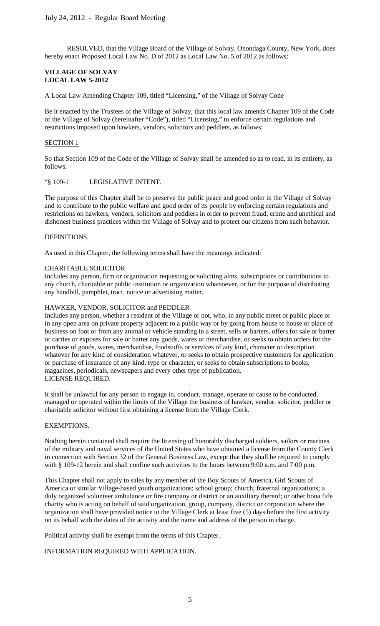RESOLVED, that the Village Board of the Village of Solvay, Onondaga County, New York, does hereby enact Proposed Local Law No. D of 2012 as Local Law No. 5 of 2012 as follows:

## **VILLAGE OF SOLVAY LOCAL LAW 5-2012**

A Local Law Amending Chapter 109, titled "Licensing," of the Village of Solvay Code

Be it enacted by the Trustees of the Village of Solvay, that this local law amends Chapter 109 of the Code of the Village of Solvay (hereinafter "Code"), titled "Licensing," to enforce certain regulations and restrictions imposed upon hawkers, vendors, solicitors and peddlers, as follows:

## SECTION<sub>1</sub>

So that Section 109 of the Code of the Village of Solvay shall be amended so as to read, in its entirety, as follows:

## "§ 109-1 LEGISLATIVE INTENT.

The purpose of this Chapter shall be to preserve the public peace and good order in the Village of Solvay and to contribute to the public welfare and good order of its people by enforcing certain regulations and restrictions on hawkers, vendors, solicitors and peddlers in order to prevent fraud, crime and unethical and dishonest business practices within the Village of Solvay and to protect our citizens from such behavior.

## **DEFINITIONS**

As used in this Chapter, the following terms shall have the meanings indicated:

## CHARITABLE SOLICITOR

Includes any person, firm or organization requesting or soliciting alms, subscriptions or contributions to any church, charitable or public institution or organization whatsoever, or for the purpose of distributing any handbill, pamphlet, tract, notice or advertising matter.

## HAWKER, VENDOR, SOLICITOR and PEDDLER

Includes any person, whether a resident of the Village or not, who, in any public street or public place or in any open area on private property adjacent to a public way or by going from house to house or place of business on foot or from any animal or vehicle standing in a street, sells or barters, offers for sale or barter or carries or exposes for sale or barter any goods, wares or merchandise, or seeks to obtain orders for the purchase of goods, wares, merchandise, foodstuffs or services of any kind, character or description whatever for any kind of consideration whatever, or seeks to obtain prospective customers for application or purchase of insurance of any kind, type or character, or seeks to obtain subscriptions to books, magazines, periodicals, newspapers and every other type of publication. LICENSE REQUIRED.

It shall be unlawful for any person to engage in, conduct, manage, operate or cause to be conducted, managed or operated within the limits of the Village the business of hawker, vendor, solicitor, peddler or charitable solicitor without first obtaining a license from the Village Clerk.

## EXEMPTIONS.

Nothing herein contained shall require the licensing of honorably discharged soldiers, sailors or marines of the military and naval services of the United States who have obtained a license from the County Clerk in connection with Section 32 of the General Business Law, except that they shall be required to comply with § 109-12 herein and shall confine such activities to the hours between 9:00 a.m. and 7:00 p.m.

This Chapter shall not apply to sales by any member of the Boy Scouts of America, Girl Scouts of America or similar Village-based youth organizations; school group; church; fraternal organizations; a duly organized volunteer ambulance or fire company or district or an auxiliary thereof; or other bona fide charity who is acting on behalf of said organization, group, company, district or corporation where the organization shall have provided notice to the Village Clerk at least five (5) days before the first activity on its behalf with the dates of the activity and the name and address of the person in charge.

Political activity shall be exempt from the terms of this Chapter.

## INFORMATION REQUIRED WITH APPLICATION.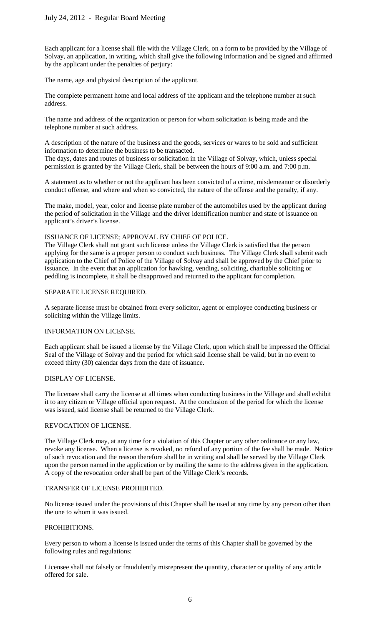Each applicant for a license shall file with the Village Clerk, on a form to be provided by the Village of Solvay, an application, in writing, which shall give the following information and be signed and affirmed by the applicant under the penalties of perjury:

The name, age and physical description of the applicant.

The complete permanent home and local address of the applicant and the telephone number at such address.

The name and address of the organization or person for whom solicitation is being made and the telephone number at such address.

A description of the nature of the business and the goods, services or wares to be sold and sufficient information to determine the business to be transacted.

The days, dates and routes of business or solicitation in the Village of Solvay, which, unless special permission is granted by the Village Clerk, shall be between the hours of 9:00 a.m. and 7:00 p.m.

A statement as to whether or not the applicant has been convicted of a crime, misdemeanor or disorderly conduct offense, and where and when so convicted, the nature of the offense and the penalty, if any.

The make, model, year, color and license plate number of the automobiles used by the applicant during the period of solicitation in the Village and the driver identification number and state of issuance on applicant's driver's license.

## ISSUANCE OF LICENSE; APPROVAL BY CHIEF OF POLICE.

The Village Clerk shall not grant such license unless the Village Clerk is satisfied that the person applying for the same is a proper person to conduct such business. The Village Clerk shall submit each application to the Chief of Police of the Village of Solvay and shall be approved by the Chief prior to issuance. In the event that an application for hawking, vending, soliciting, charitable soliciting or peddling is incomplete, it shall be disapproved and returned to the applicant for completion.

#### SEPARATE LICENSE REQUIRED.

A separate license must be obtained from every solicitor, agent or employee conducting business or soliciting within the Village limits.

## INFORMATION ON LICENSE.

Each applicant shall be issued a license by the Village Clerk, upon which shall be impressed the Official Seal of the Village of Solvay and the period for which said license shall be valid, but in no event to exceed thirty (30) calendar days from the date of issuance.

## DISPLAY OF LICENSE.

The licensee shall carry the license at all times when conducting business in the Village and shall exhibit it to any citizen or Village official upon request. At the conclusion of the period for which the license was issued, said license shall be returned to the Village Clerk.

## REVOCATION OF LICENSE.

The Village Clerk may, at any time for a violation of this Chapter or any other ordinance or any law, revoke any license. When a license is revoked, no refund of any portion of the fee shall be made. Notice of such revocation and the reason therefore shall be in writing and shall be served by the Village Clerk upon the person named in the application or by mailing the same to the address given in the application. A copy of the revocation order shall be part of the Village Clerk's records.

## TRANSFER OF LICENSE PROHIBITED.

No license issued under the provisions of this Chapter shall be used at any time by any person other than the one to whom it was issued.

#### PROHIBITIONS.

Every person to whom a license is issued under the terms of this Chapter shall be governed by the following rules and regulations:

Licensee shall not falsely or fraudulently misrepresent the quantity, character or quality of any article offered for sale.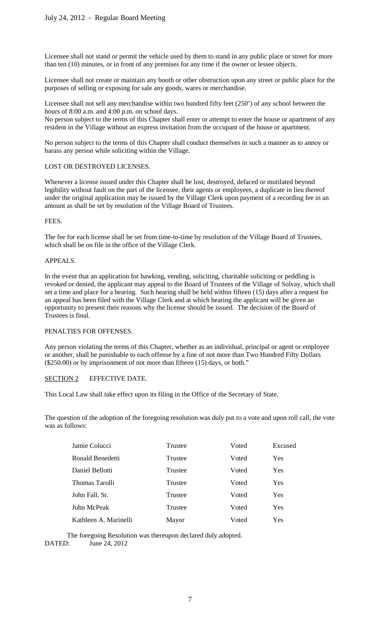Licensee shall not stand or permit the vehicle used by them to stand in any public place or street for more than ten (10) minutes, or in front of any premises for any time if the owner or lessee objects.

Licensee shall not create or maintain any booth or other obstruction upon any street or public place for the purposes of selling or exposing for sale any goods, wares or merchandise.

Licensee shall not sell any merchandise within two hundred fifty feet (250') of any school between the hours of 8:00 a.m. and 4:00 p.m. on school days.

No person subject to the terms of this Chapter shall enter or attempt to enter the house or apartment of any resident in the Village without an express invitation from the occupant of the house or apartment.

No person subject to the terms of this Chapter shall conduct themselves in such a manner as to annoy or harass any person while soliciting within the Village.

## LOST OR DESTROYED LICENSES.

Whenever a license issued under this Chapter shall be lost, destroyed, defaced or mutilated beyond legibility without fault on the part of the licensee, their agents or employees, a duplicate in lieu thereof under the original application may be issued by the Village Clerk upon payment of a recording fee in an amount as shall be set by resolution of the Village Board of Trustees.

FEES.

The fee for each license shall be set from time-to-time by resolution of the Village Board of Trustees, which shall be on file in the office of the Village Clerk.

## APPEALS.

In the event that an application for hawking, vending, soliciting, charitable soliciting or peddling is revoked or denied, the applicant may appeal to the Board of Trustees of the Village of Solvay, which shall set a time and place for a hearing. Such hearing shall be held within fifteen (15) days after a request for an appeal has been filed with the Village Clerk and at which hearing the applicant will be given an opportunity to present their reasons why the license should be issued. The decision of the Board of Trustees is final.

## PENALTIES FOR OFFENSES.

Any person violating the terms of this Chapter, whether as an individual, principal or agent or employee or another, shall be punishable to each offense by a fine of not more than Two Hundred Fifty Dollars (\$250.00) or by imprisonment of not more than fifteen (15) days, or both."

## SECTION 2 EFFECTIVE DATE.

This Local Law shall take effect upon its filing in the Office of the Secretary of State.

The question of the adoption of the foregoing resolution was duly put to a vote and upon roll call, the vote was as follows:

| Jamie Colucci         | Trustee | Voted | Excused |
|-----------------------|---------|-------|---------|
| Ronald Benedetti      | Trustee | Voted | Yes     |
| Daniel Bellotti       | Trustee | Voted | Yes     |
| Thomas Tarolli        | Trustee | Voted | Yes     |
| John Fall, Sr.        | Trustee | Voted | Yes     |
| John McPeak           | Trustee | Voted | Yes     |
| Kathleen A. Marinelli | Mayor   | Voted | Yes     |

The foregoing Resolution was thereupon declared duly adopted.

DATED: June 24, 2012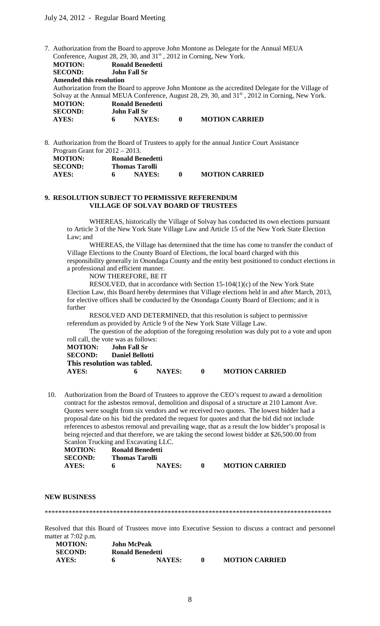7. Authorization from the Board to approve John Montone as Delegate for the Annual MEUA Conference, August 28, 29, 30, and 31<sup>st</sup>, 2012 in Corning, New York.

**MOTION: Ronald Benedetti SECOND: John Fall Sr Amended this resolution**  Authorization from the Board to approve John Montone as the accredited Delegate for the Village of Solvay at the Annual MEUA Conference, August 28, 29, 30, and 31<sup>st</sup>, 2012 in Corning, New York. **MOTION:** Ronald Benedetti<br>SECOND: John Fall Sr **SECOND: John Fall Sr**<br>**AYES: 6 NAY AYES: 6 NAYES: 0 MOTION CARRIED**

8. Authorization from the Board of Trustees to apply for the annual Justice Court Assistance Program Grant for 2012 – 2013. **MOTION: Ronald Benedetti SECOND:** Thomas Tarolli<br> **AYES:** 6 NAYES:

**AYES: 6 NAYES: 0 MOTION CARRIED**

#### **9. RESOLUTION SUBJECT TO PERMISSIVE REFERENDUM VILLAGE OF SOLVAY BOARD OF TRUSTEES**

WHEREAS, historically the Village of Solvay has conducted its own elections pursuant to Article 3 of the New York State Village Law and Article 15 of the New York State Election Law; and

WHEREAS, the Village has determined that the time has come to transfer the conduct of Village Elections to the County Board of Elections, the local board charged with this responsibility generally in Onondaga County and the entity best positioned to conduct elections in a professional and efficient manner.

NOW THEREFORE, BE IT

RESOLVED, that in accordance with Section 15-104(1)(c) of the New York State Election Law, this Board hereby determines that Village elections held in and after March, 2013, for elective offices shall be conducted by the Onondaga County Board of Elections; and it is further

RESOLVED AND DETERMINED, that this resolution is subject to permissive referendum as provided by Article 9 of the New York State Village Law.

The question of the adoption of the foregoing resolution was duly put to a vote and upon roll call, the vote was as follows:

**MOTION: John Fall Sr SECOND: Daniel Bellotti This resolution was tabled. AYES: 6 NAYES: 0 MOTION CARRIED**

10. Authorization from the Board of Trustees to approve the CEO's request to award a demolition contract for the asbestos removal, demolition and disposal of a structure at 210 Lamont Ave. Quotes were sought from six vendors and we received two quotes. The lowest bidder had a proposal date on his bid the predated the request for quotes and that the bid did not include references to asbestos removal and prevailing wage, that as a result the low bidder's proposal is being rejected and that therefore, we are taking the second lowest bidder at \$26,500.00 from Scanlon Trucking and Excavating LLC.

| <b>MOTION:</b> |                | Ronald Benedetti |                       |
|----------------|----------------|------------------|-----------------------|
| <b>SECOND:</b> | Thomas Tarolli |                  |                       |
| AYES:          |                | <b>NAYES:</b>    | <b>MOTION CARRIED</b> |

#### **NEW BUSINESS**

\*\*\*\*\*\*\*\*\*\*\*\*\*\*\*\*\*\*\*\*\*\*\*\*\*\*\*\*\*\*\*\*\*\*\*\*\*\*\*\*\*\*\*\*\*\*\*\*\*\*\*\*\*\*\*\*\*\*\*\*\*\*\*\*\*\*\*\*\*\*\*\*\*\*\*\*\*\*\*\*\*\*\*\*

Resolved that this Board of Trustees move into Executive Session to discuss a contract and personnel matter at 7:02 p.m.

| <b>MOTION:</b> | <b>John McPeak</b> |                  |                       |
|----------------|--------------------|------------------|-----------------------|
| <b>SECOND:</b> |                    | Ronald Benedetti |                       |
| <b>AYES:</b>   | 6                  | <b>NAYES:</b>    | <b>MOTION CARRIED</b> |